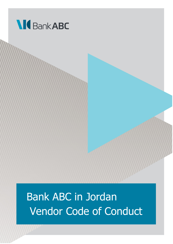

# Bank ABC in Jordan Vendor Code of Conduct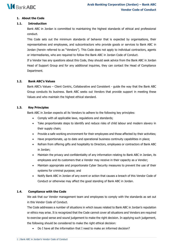

# **1. About the Code**

# **1.1. Introduction**

Bank ABC in Jordan is committed to maintaining the highest standards of ethical and professional conduct.

This Code sets out the minimum standards of behavior that is expected by organisations, their representatives and employees, and subcontractors who provide goods or services to Bank ABC in Jordan (herein referred to as "Vendors"). This Code does not apply to individual contractors, agents or intermediaries, who are required to follow the Bank ABC in Jordan Code of Conduct.

If a Vendor has any questions about this Code, they should seek advice from the Bank ABC in Jordan Head of Support Group and for any additional inquiries, they can contact the Head of Compliance Department.

## **1.2. Bank ABC's Values**

Bank ABC's Values – Client Centric, Collaborative and Consistent - guide the way that the Bank ABC Group conducts its business. Bank ABC seeks out Vendors that provide support in meeting these Values and who maintain the highest ethical standard.

## **1.3. Key Principles**

Bank ABC in Jordan expects all its Vendors to adhere to the following key principles:

- Comply with all applicable laws, regulations and standards;
- Take proportionate steps to identify and reduce risks of child labour and modern slavery in their supply chain;
- Provide a safe working environment for their employees and those affected by their activities;
- Have proportionate, up to date and operational business continuity capabilities in place;
- Refrain from offering gifts and hospitality to Directors, employees or contractors of Bank ABC in Jordan;
- Maintain the privacy and confidentiality of any information relating to Bank ABC in Jordan, its employees and its customers that a Vendor may receive in their capacity as a Vendor;
- Maintain appropriate and proportionate Cyber Security measures to prevent the use of their systems for criminal purpose; and
- Notify Bank ABC in Jordan of any event or action that causes a breach of this Vendor Code of Conduct or otherwise may affect the good standing of Bank ABC in Jordan.

## **1.4. Compliance with the Code**

We ask that our Vendor management team and employees to comply with the standards as set out in this Vendor Code of Conduct.

The Code addresses a number of situations in which issues related to Bank ABC in Jordan's reputation or ethics may arise. It is recognized that the Code cannot cover all situations and Vendors are required to exercise good sense and sound judgement to make the right decision. In applying such judgement, the following should be considered to make the right ethical decision:

• Do I have all the information that I need to make an informed decision?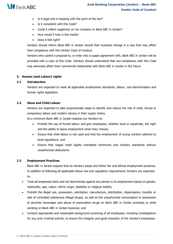

- Is it legal and in keeping with the spirit of the law?
- Is it consistent with this Code?
- Could it reflect negatively on my company or Bank ABC in Jordan?
- How would it look in the media?
- Does it feel right?

Vendors should inform Bank ABC in Jordan should their business change in a way that may affect their compliance with this Vendor Code of Conduct.

Vendors who submit a proposal to, or enter into a supply agreement with, Bank ABC in Jordan will be provided with a copy of this Code. Vendors should understand that non-compliance with this Code may adversely affect their commercial relationship with Bank ABC in Jordan in the future.

## **2. Human (and Labour) rights**

#### **2.1 Introduction**

Vendors are expected to meet all applicable employment standards, labour, non-discrimination and human rights legislation.

## **2.2 Slave and Child Labour**

Vendors are expected to take proportionate steps to identify and reduce the risk of child, forced or compulsory labour and modern slavery in their supply chains.

As a minimum Bank ABC in Jordan expects our Vendors to:

- Prohibit the use of forced labour and give employees, whether local or expatriate, the right and the ability to leave employment when they choose;
- Ensure that child labour is not used and that the employment of young workers adheres to local regulations; and
- Ensure that wages meet legally mandated minimums and industry standards without unauthorized deductions.

#### **2.3 Employment Practices**

Bank ABC in Jordan expects that its Vendors adopt and follow fair and ethical employment practices. In addition to following all applicable labour law and regulatory requirements Vendors are expected to:

- Treat all employees fairly and not discriminate against any person in its employment based on gender, nationality, age, colour, ethnic origin, disability or religious beliefs;
- Prohibit the illegal use, possession, solicitation, manufacture, distribution, dispensation, transfer or sale of controlled substances (illegal drugs), as well as the unauthorized consumption or possession of alcoholic beverages and abuse of prescription drugs on Bank ABC in Jordan premises or while working on Bank ABC in Jordan business; and
- Conduct appropriate and reasonable background screening of all employees, including investigations for any prior criminal activity, to ensure the integrity and good character of the Vendor's employees.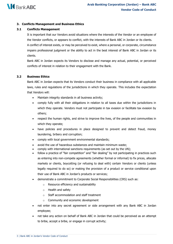

# **3. Conflicts Management and Business Ethics**

# **3.1 Conflicts Management**

It is important that our Vendors avoid situations where the interests of the Vendor or an employee of the Vendor conflicts, or appears to conflict, with the interests of Bank ABC in Jordan or its clients. A conflict of interest exists, or may be perceived to exist, where a personal, or corporate, circumstance impairs professional judgment or the ability to act in the best interest of Bank ABC in Jordan or its clients.

Bank ABC in Jordan expects its Vendors to disclose and manage any actual, potential, or perceived conflicts of interest in relation to their engagement with the Bank.

## **3.2 Business Ethics**

Bank ABC in Jordan expects that its Vendors conduct their business in compliance with all applicable laws, rules and regulations of the jurisdictions in which they operate. This includes the expectation that Vendors will:

- Maintain integrity standards in all business activity;
- comply fully with all their obligations in relation to all taxes due within the jurisdictions in which they operate. Vendors must not participate in tax evasion or facilitate tax evasion by others;
- respect the human rights, and strive to improve the lives, of the people and communities in which they operate;
- have policies and procedures in place designed to prevent and detect fraud, money laundering, bribery and corruption;
- comply with local government environmental standards;
- avoid the use of hazardous substances and maintain minimum waste:
- comply with international sanctions requirements (as set out by the UN);
- follow a practice of "fair competition" and "fair dealing" by not participating in practices such as entering into non-compete agreements (whether formal or informal) to fix prices, allocate markets or clients, boycotting (or refusing to deal with) certain Vendors or clients (unless legally required to do so) or making the provision of a product or service conditional upon their use of Bank ABC in Jordan's products or services;
- demonstrate a commitment to Corporate Social Responsibilities (CRS) such as:
	- o Resource efficiency and sustainability
	- o Health and safety
	- o Staff accommodation and staff treatment
	- o Community and economic development
- not enter into any secret agreement or side arrangement with any Bank ABC in Jordan employee;
- not take any action on behalf of Bank ABC in Jordan that could be perceived as an attempt to bribe, accept a bribe, or engage in corrupt activity;